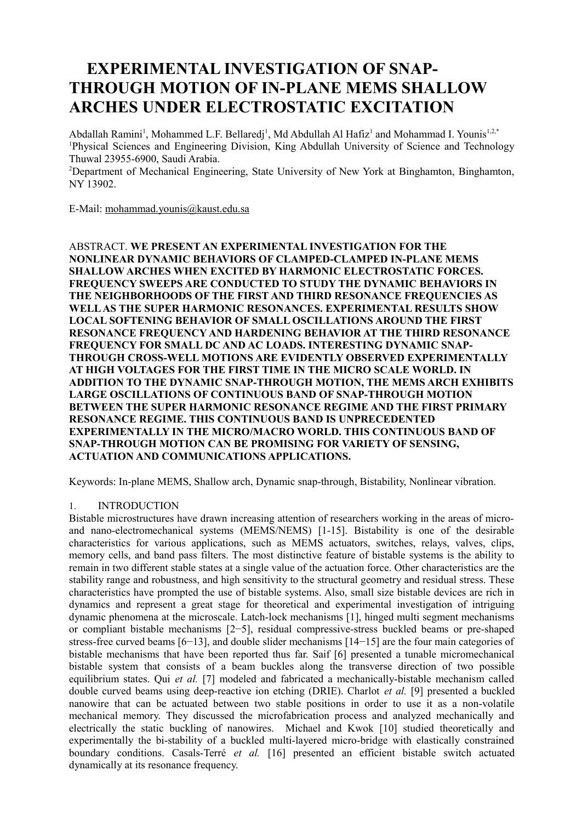# **EXPERIMENTAL INVESTIGATION OF SNAP-THROUGH MOTION OF IN-PLANE MEMS SHALLOW ARCHES UNDER ELECTROSTATIC EXCITATION**

Abdallah Ramini<sup>1</sup>, Mohammed L.F. Bellaredj<sup>1</sup>, Md Abdullah Al Hafiz<sup>1</sup> and Mohammad I. Younis<sup>1,2,\*</sup> <sup>1</sup>Physical Sciences and Engineering Division, King Abdullah University of Science and Technology Thuwal 23955-6900, Saudi Arabia.

<sup>2</sup>Department of Mechanical Engineering, State University of New York at Binghamton, Binghamton, NY 13902.

E-Mail: [mohammad.younis@kaust.edu.sa](mailto:mohammad.younis@kaust.edu.sa) 

ABSTRACT. **WE PRESENT AN EXPERIMENTAL INVESTIGATION FOR THE NONLINEAR DYNAMIC BEHAVIORS OF CLAMPED-CLAMPED IN-PLANE MEMS SHALLOW ARCHES WHEN EXCITED BY HARMONIC ELECTROSTATIC FORCES. FREQUENCY SWEEPS ARE CONDUCTED TO STUDY THE DYNAMIC BEHAVIORS IN THE NEIGHBORHOODS OF THE FIRST AND THIRD RESONANCE FREQUENCIES AS WELL AS THE SUPER HARMONIC RESONANCES. EXPERIMENTAL RESULTS SHOW LOCAL SOFTENING BEHAVIOR OF SMALL OSCILLATIONS AROUND THE FIRST RESONANCE FREQUENCY AND HARDENING BEHAVIOR AT THE THIRD RESONANCE FREQUENCY FOR SMALL DC AND AC LOADS. INTERESTING DYNAMIC SNAP-THROUGH CROSS-WELL MOTIONS ARE EVIDENTLY OBSERVED EXPERIMENTALLY AT HIGH VOLTAGES FOR THE FIRST TIME IN THE MICRO SCALE WORLD. IN ADDITION TO THE DYNAMIC SNAP-THROUGH MOTION, THE MEMS ARCH EXHIBITS LARGE OSCILLATIONS OF CONTINUOUS BAND OF SNAP-THROUGH MOTION BETWEEN THE SUPER HARMONIC RESONANCE REGIME AND THE FIRST PRIMARY RESONANCE REGIME. THIS CONTINUOUS BAND IS UNPRECEDENTED EXPERIMENTALLY IN THE MICRO/MACRO WORLD. THIS CONTINUOUS BAND OF SNAP-THROUGH MOTION CAN BE PROMISING FOR VARIETY OF SENSING, ACTUATION AND COMMUNICATIONS APPLICATIONS.**

Keywords: In-plane MEMS, Shallow arch, Dynamic snap-through, Bistability, Nonlinear vibration.

# 1. INTRODUCTION

Bistable microstructures have drawn increasing attention of researchers working in the areas of microand nano-electromechanical systems (MEMS/NEMS) [1-15]. Bistability is one of the desirable characteristics for various applications, such as MEMS actuators, switches, relays, valves, clips, memory cells, and band pass filters. The most distinctive feature of bistable systems is the ability to remain in two different stable states at a single value of the actuation force. Other characteristics are the stability range and robustness, and high sensitivity to the structural geometry and residual stress. These characteristics have prompted the use of bistable systems. Also, small size bistable devices are rich in dynamics and represent a great stage for theoretical and experimental investigation of intriguing dynamic phenomena at the microscale. Latch-lock mechanisms [1], hinged multi segment mechanisms or compliant bistable mechanisms [2−5], residual compressive-stress buckled beams or pre-shaped stress-free curved beams [6−13], and double slider mechanisms [14−15] are the four main categories of bistable mechanisms that have been reported thus far. Saif [6] presented a tunable micromechanical bistable system that consists of a beam buckles along the transverse direction of two possible equilibrium states. Qui *et al.* [7] modeled and fabricated a mechanically-bistable mechanism called double curved beams using deep-reactive ion etching (DRIE). Charlot *et al.* [9] presented a buckled nanowire that can be actuated between two stable positions in order to use it as a non-volatile mechanical memory. They discussed the microfabrication process and analyzed mechanically and electrically the static buckling of nanowires. Michael and Kwok [10] studied theoretically and experimentally the bi-stability of a buckled multi-layered micro-bridge with elastically constrained boundary conditions. Casals-Terré *et al.* [16] presented an efficient bistable switch actuated dynamically at its resonance frequency.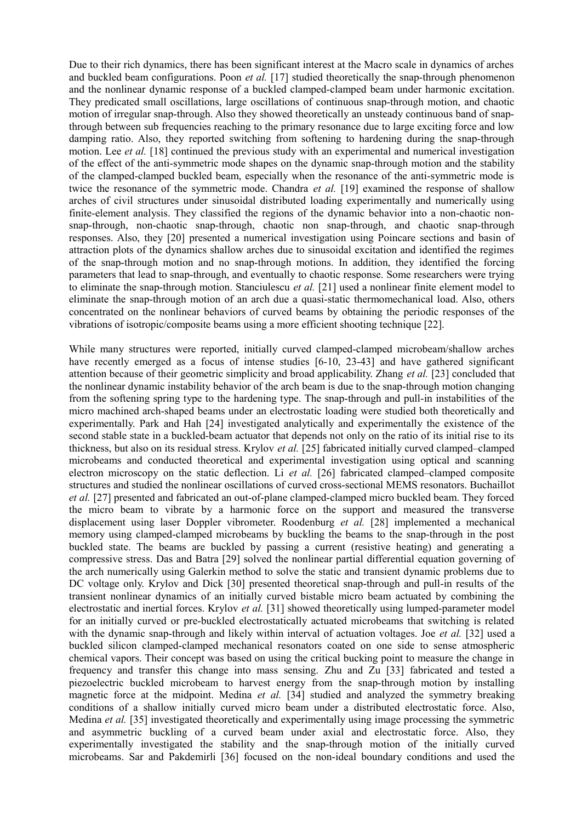Due to their rich dynamics, there has been significant interest at the Macro scale in dynamics of arches and buckled beam configurations. Poon *et al.* [17] studied theoretically the snap-through phenomenon and the nonlinear dynamic response of a buckled clamped-clamped beam under harmonic excitation. They predicated small oscillations, large oscillations of continuous snap-through motion, and chaotic motion of irregular snap-through. Also they showed theoretically an unsteady continuous band of snapthrough between sub frequencies reaching to the primary resonance due to large exciting force and low damping ratio. Also, they reported switching from softening to hardening during the snap-through motion. Lee *et al.* [18] continued the previous study with an experimental and numerical investigation of the effect of the anti-symmetric mode shapes on the dynamic snap-through motion and the stability of the clamped-clamped buckled beam, especially when the resonance of the anti-symmetric mode is twice the resonance of the symmetric mode. Chandra *et al.* [19] examined the response of shallow arches of civil structures under sinusoidal distributed loading experimentally and numerically using finite-element analysis. They classified the regions of the dynamic behavior into a non-chaotic nonsnap-through, non-chaotic snap-through, chaotic non snap-through, and chaotic snap-through responses. Also, they [20] presented a numerical investigation using Poincare sections and basin of attraction plots of the dynamics shallow arches due to sinusoidal excitation and identified the regimes of the snap-through motion and no snap-through motions. In addition, they identified the forcing parameters that lead to snap-through, and eventually to chaotic response. Some researchers were trying to eliminate the snap-through motion. Stanciulescu *et al.* [21] used a nonlinear finite element model to eliminate the snap-through motion of an arch due a quasi-static thermomechanical load. Also, others concentrated on the nonlinear behaviors of curved beams by obtaining the periodic responses of the vibrations of isotropic/composite beams using a more efficient shooting technique [22].

While many structures were reported, initially curved clamped-clamped microbeam/shallow arches have recently emerged as a focus of intense studies  $[6-10, 23-43]$  and have gathered significant attention because of their geometric simplicity and broad applicability. Zhang *et al.* [23] concluded that the nonlinear dynamic instability behavior of the arch beam is due to the snap-through motion changing from the softening spring type to the hardening type. The snap-through and pull-in instabilities of the micro machined arch-shaped beams under an electrostatic loading were studied both theoretically and experimentally. Park and Hah [24] investigated analytically and experimentally the existence of the second stable state in a buckled-beam actuator that depends not only on the ratio of its initial rise to its thickness, but also on its residual stress. Krylov *et al.* [25] fabricated initially curved clamped–clamped microbeams and conducted theoretical and experimental investigation using optical and scanning electron microscopy on the static deflection. Li *et al.* [26] fabricated clamped–clamped composite structures and studied the nonlinear oscillations of curved cross-sectional MEMS resonators. Buchaillot *et al.* [27] presented and fabricated an out-of-plane clamped-clamped micro buckled beam. They forced the micro beam to vibrate by a harmonic force on the support and measured the transverse displacement using laser Doppler vibrometer. Roodenburg *et al.* [28] implemented a mechanical memory using clamped-clamped microbeams by buckling the beams to the snap-through in the post buckled state. The beams are buckled by passing a current (resistive heating) and generating a compressive stress. Das and Batra [29] solved the nonlinear partial differential equation governing of the arch numerically using Galerkin method to solve the static and transient dynamic problems due to DC voltage only. Krylov and Dick [30] presented theoretical snap-through and pull-in results of the transient nonlinear dynamics of an initially curved bistable micro beam actuated by combining the electrostatic and inertial forces. Krylov *et al.* [31] showed theoretically using lumped-parameter model for an initially curved or pre-buckled electrostatically actuated microbeams that switching is related with the dynamic snap-through and likely within interval of actuation voltages. Joe *et al.* [32] used a buckled silicon clamped-clamped mechanical resonators coated on one side to sense atmospheric chemical vapors. Their concept was based on using the critical bucking point to measure the change in frequency and transfer this change into mass sensing. Zhu and Zu [33] fabricated and tested a piezoelectric buckled microbeam to harvest energy from the snap-through motion by installing magnetic force at the midpoint. Medina *et al.* [34] studied and analyzed the symmetry breaking conditions of a shallow initially curved micro beam under a distributed electrostatic force. Also, Medina *et al.* [35] investigated theoretically and experimentally using image processing the symmetric and asymmetric buckling of a curved beam under axial and electrostatic force. Also, they experimentally investigated the stability and the snap-through motion of the initially curved microbeams. Sar and Pakdemirli [36] focused on the non-ideal boundary conditions and used the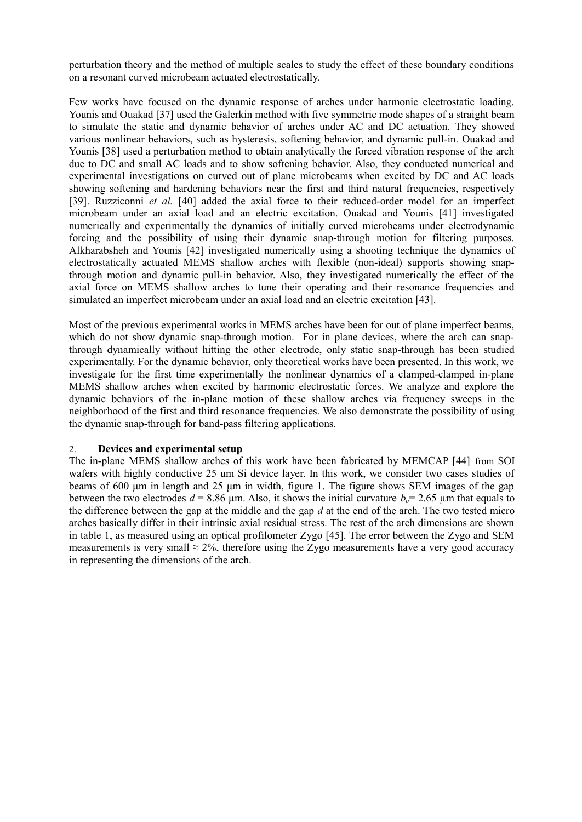perturbation theory and the method of multiple scales to study the effect of these boundary conditions on a resonant curved microbeam actuated electrostatically.

Few works have focused on the dynamic response of arches under harmonic electrostatic loading. Younis and Ouakad [37] used the Galerkin method with five symmetric mode shapes of a straight beam to simulate the static and dynamic behavior of arches under AC and DC actuation. They showed various nonlinear behaviors, such as hysteresis, softening behavior, and dynamic pull-in. Ouakad and Younis [38] used a perturbation method to obtain analytically the forced vibration response of the arch due to DC and small AC loads and to show softening behavior. Also, they conducted numerical and experimental investigations on curved out of plane microbeams when excited by DC and AC loads showing softening and hardening behaviors near the first and third natural frequencies, respectively [39]. Ruzziconni *et al.* [40] added the axial force to their reduced-order model for an imperfect microbeam under an axial load and an electric excitation. Ouakad and Younis [41] investigated numerically and experimentally the dynamics of initially curved microbeams under electrodynamic forcing and the possibility of using their dynamic snap-through motion for filtering purposes. Alkharabsheh and Younis [42] investigated numerically using a shooting technique the dynamics of electrostatically actuated MEMS shallow arches with flexible (non-ideal) supports showing snapthrough motion and dynamic pull-in behavior. Also, they investigated numerically the effect of the axial force on MEMS shallow arches to tune their operating and their resonance frequencies and simulated an imperfect microbeam under an axial load and an electric excitation [43].

Most of the previous experimental works in MEMS arches have been for out of plane imperfect beams, which do not show dynamic snap-through motion. For in plane devices, where the arch can snapthrough dynamically without hitting the other electrode, only static snap-through has been studied experimentally. For the dynamic behavior, only theoretical works have been presented. In this work, we investigate for the first time experimentally the nonlinear dynamics of a clamped-clamped in-plane MEMS shallow arches when excited by harmonic electrostatic forces. We analyze and explore the dynamic behaviors of the in-plane motion of these shallow arches via frequency sweeps in the neighborhood of the first and third resonance frequencies. We also demonstrate the possibility of using the dynamic snap-through for band-pass filtering applications.

## 2. **Devices and experimental setup**

The in-plane MEMS shallow arches of this work have been fabricated by MEMCAP [44] from SOI wafers with highly conductive 25 um Si device layer. In this work, we consider two cases studies of beams of 600 μm in length and 25 μm in width, figure 1. The figure shows SEM images of the gap between the two electrodes  $d = 8.86$  µm. Also, it shows the initial curvature  $b<sub>c</sub> = 2.65$  µm that equals to the difference between the gap at the middle and the gap *d* at the end of the arch. The two tested micro arches basically differ in their intrinsic axial residual stress. The rest of the arch dimensions are shown in table 1, as measured using an optical profilometer Zygo [45]. The error between the Zygo and SEM measurements is very small  $\approx$  2%, therefore using the Zygo measurements have a very good accuracy in representing the dimensions of the arch.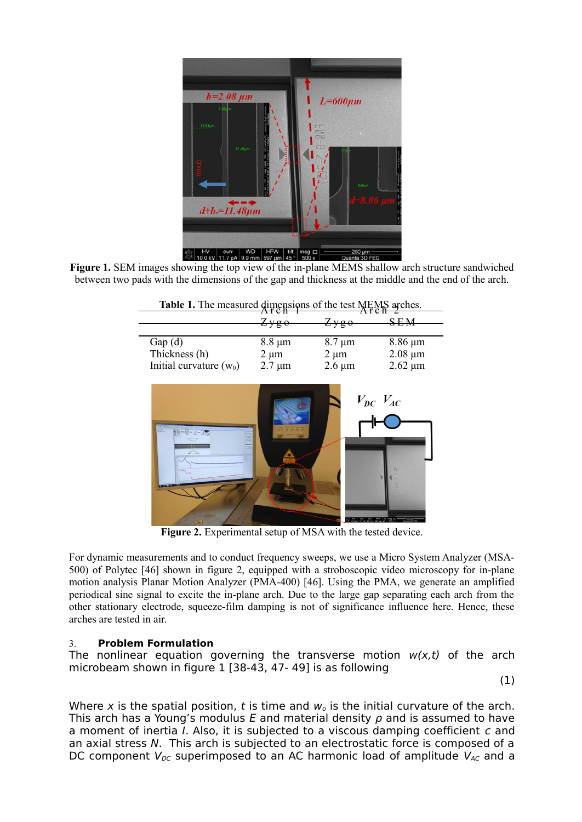

**Figure 1.** SEM images showing the top view of the in-plane MEMS shallow arch structure sandwiched between two pads with the dimensions of the gap and thickness at the middle and the end of the arch.

|                           | <del>Aren</del><br>Zyg0 | $Z$ ygo           | SEM          |
|---------------------------|-------------------------|-------------------|--------------|
|                           |                         |                   |              |
| Gap(d)                    | $8.8 \mu m$             | $8.7 \mu m$       | $8.86 \mu m$ |
| Thickness (h)             | $2 \mu m$               | $2 \mu m$         | $2.08 \mu m$ |
| Initial curvature $(w_0)$ | $2.7 \mu m$             | $2.6 \mu m$       | $2.62 \mu m$ |
| 80-8-2-3                  |                         | $V_{DC}$ $V_{AC}$ | tit mag (D)  |

|                | Table 1. The measured dimensions of the test MEMS arches. |
|----------------|-----------------------------------------------------------|
| $\overline{A}$ | $\overline{\phantom{a}}$                                  |

Figure 2. Experimental setup of MSA with the tested device.

For dynamic measurements and to conduct frequency sweeps, we use a Micro System Analyzer (MSA-500) of Polytec [46] shown in figure 2, equipped with a stroboscopic video microscopy for in-plane motion analysis Planar Motion Analyzer (PMA-400) [46]. Using the PMA, we generate an amplified periodical sine signal to excite the in-plane arch. Due to the large gap separating each arch from the other stationary electrode, squeeze-film damping is not of significance influence here. Hence, these arches are tested in air.

# 3. **Problem Formulation**

The nonlinear equation governing the transverse motion  $w(x,t)$  of the arch microbeam shown in figure 1 [38-43, 47- 49] is as following

(1)

Where x is the spatial position, t is time and  $w<sub>o</sub>$  is the initial curvature of the arch. This arch has a Young's modulus E and material density  $\rho$  and is assumed to have a moment of inertia I. Also, it is subjected to a viscous damping coefficient c and an axial stress N. This arch is subjected to an electrostatic force is composed of a DC component  $V_{DC}$  superimposed to an AC harmonic load of amplitude  $V_{AC}$  and a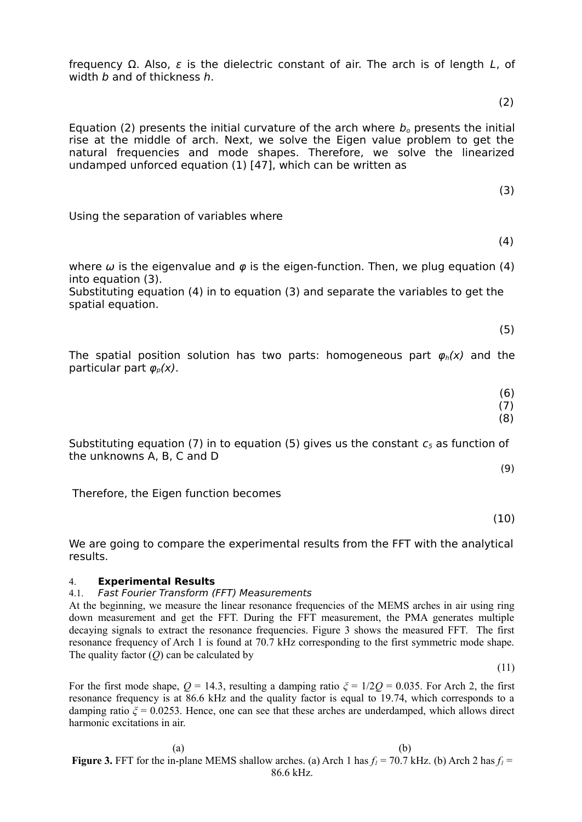frequency  $\Omega$ . Also, ε is the dielectric constant of air. The arch is of length L, of width *b* and of thickness *h*.

 $(2)$ 

Equation (2) presents the initial curvature of the arch where  $b_0$  presents the initial rise at the middle of arch. Next, we solve the Eigen value problem to get the natural frequencies and mode shapes. Therefore, we solve the linearized undamped unforced equation (1) [47], which can be written as

 $(3)$ 

Using the separation of variables where

 $(4)$ 

where  $\omega$  is the eigenvalue and  $\varphi$  is the eigen-function. Then, we plug equation (4) into equation (3).

Substituting equation (4) in to equation (3) and separate the variables to get the spatial equation.

 $(5)$ 

The spatial position solution has two parts: homogeneous part  $\varphi_h(x)$  and the particular part  $\varphi_{p}(x)$ .

(6)

 $(7)$ (8)

Substituting equation (7) in to equation (5) gives us the constant  $c_5$  as function of the unknowns A, B, C and D

(9)

Therefore, the Eigen function becomes

(10)

We are going to compare the experimental results from the FFT with the analytical results.

# 4. **Experimental Results**

## 4.1. Fast Fourier Transform (FFT) Measurements

At the beginning, we measure the linear resonance frequencies of the MEMS arches in air using ring down measurement and get the FFT. During the FFT measurement, the PMA generates multiple decaying signals to extract the resonance frequencies. Figure 3 shows the measured FFT. The first resonance frequency of Arch 1 is found at 70.7 kHz corresponding to the first symmetric mode shape. The quality factor (*Q*) can be calculated by

(11)

For the first mode shape,  $Q = 14.3$ , resulting a damping ratio  $\zeta = 1/2Q = 0.035$ . For Arch 2, the first resonance frequency is at 86.6 kHz and the quality factor is equal to 19.74, which corresponds to a damping ratio  $\zeta = 0.0253$ . Hence, one can see that these arches are underdamped, which allows direct harmonic excitations in air.

 $(a)$  (b) **Figure 3.** FFT for the in-plane MEMS shallow arches. (a) Arch 1 has  $f<sub>I</sub> = 70.7$  kHz. (b) Arch 2 has  $f<sub>I</sub> =$ 86.6 kHz.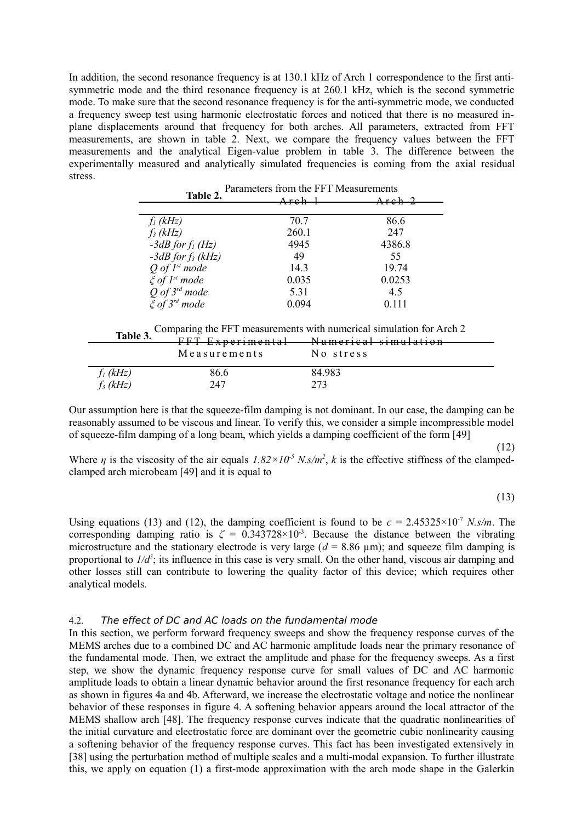In addition, the second resonance frequency is at 130.1 kHz of Arch 1 correspondence to the first antisymmetric mode and the third resonance frequency is at 260.1 kHz, which is the second symmetric mode. To make sure that the second resonance frequency is for the anti-symmetric mode, we conducted a frequency sweep test using harmonic electrostatic forces and noticed that there is no measured inplane displacements around that frequency for both arches. All parameters, extracted from FFT measurements, are shown in table 2. Next, we compare the frequency values between the FFT measurements and the analytical Eigen-value problem in table 3. The difference between the experimentally measured and analytically simulated frequencies is coming from the axial residual stress.

| Table 2.                      | Areh – | $A$ reh $2$ |
|-------------------------------|--------|-------------|
| $f_l$ (kHz)                   | 70.7   | 86.6        |
| $f_3(kHz)$                    | 260.1  | 247         |
| $-3dB$ for $f_1$ (Hz)         | 4945   | 4386.8      |
| $-3dB$ for $f_3$ (kHz)        | 49     | 55          |
| $Q$ of $I^{st}$ mode          | 14.3   | 19.74       |
| $\xi$ of 1 <sup>st</sup> mode | 0.035  | 0.0253      |
| $Q$ of $3^{rd}$ mode          | 5.31   | 4.5         |
| $\xi$ of 3 <sup>rd</sup> mode | 0.094  | 0.111       |

Parameters from the FFT Measurements

**Table <sup>3</sup>** Comparing the FFT measurements with numerical simulation for Arch 2

| Tavit J.    | FFT Experimental | Numerical cimulation             |
|-------------|------------------|----------------------------------|
|             |                  | <del>ivumerical simulation</del> |
|             | Measurements     | No stress                        |
| $f_I$ (kHz) | 86.6             | 84.983                           |
| $f_3(kHz)$  | 247              | 273                              |

Our assumption here is that the squeeze-film damping is not dominant. In our case, the damping can be reasonably assumed to be viscous and linear. To verify this, we consider a simple incompressible model of squeeze-film damping of a long beam, which yields a damping coefficient of the form [49]

Where  $\eta$  is the viscosity of the air equals  $1.82 \times 10^{-5}$  N.s/m<sup>2</sup>, k is the effective stiffness of the clampedclamped arch microbeam [49] and it is equal to

 $(12)$ 

 $(13)$ 

Using equations (13) and (12), the damping coefficient is found to be  $c = 2.45325 \times 10^{-7}$  *N.s/m.* The corresponding damping ratio is  $\zeta = 0.343728 \times 10^{-3}$ . Because the distance between the vibrating microstructure and the stationary electrode is very large ( $d = 8.86 \text{ }\mu\text{m}$ ); and squeeze film damping is proportional to  $1/d^3$ ; its influence in this case is very small. On the other hand, viscous air damping and other losses still can contribute to lowering the quality factor of this device; which requires other analytical models.

## 4.2. The effect of DC and AC loads on the fundamental mode

In this section, we perform forward frequency sweeps and show the frequency response curves of the MEMS arches due to a combined DC and AC harmonic amplitude loads near the primary resonance of the fundamental mode. Then, we extract the amplitude and phase for the frequency sweeps. As a first step, we show the dynamic frequency response curve for small values of DC and AC harmonic amplitude loads to obtain a linear dynamic behavior around the first resonance frequency for each arch as shown in figures 4a and 4b. Afterward, we increase the electrostatic voltage and notice the nonlinear behavior of these responses in figure 4. A softening behavior appears around the local attractor of the MEMS shallow arch [48]. The frequency response curves indicate that the quadratic nonlinearities of the initial curvature and electrostatic force are dominant over the geometric cubic nonlinearity causing a softening behavior of the frequency response curves. This fact has been investigated extensively in [38] using the perturbation method of multiple scales and a multi-modal expansion. To further illustrate this, we apply on equation (1) a first-mode approximation with the arch mode shape in the Galerkin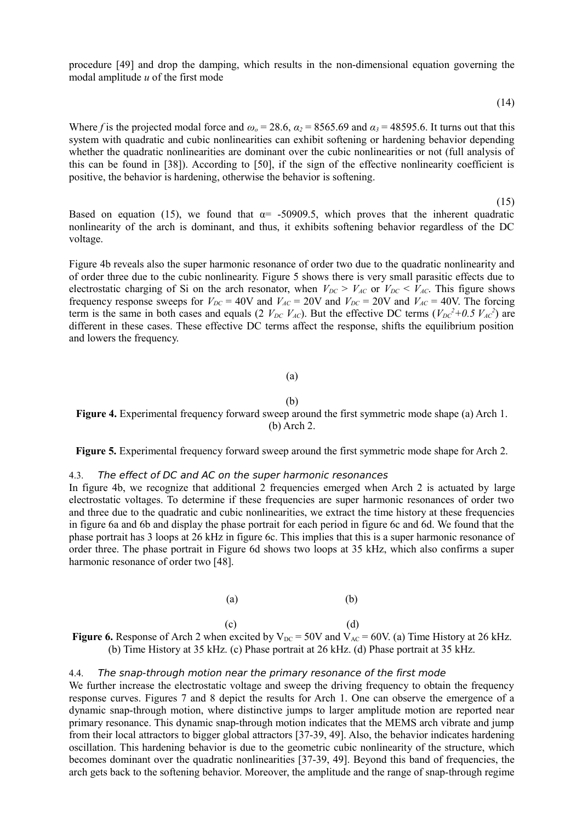procedure [49] and drop the damping, which results in the non-dimensional equation governing the modal amplitude *u* of the first mode

(14)

Where *f* is the projected modal force and  $\omega_o = 28.6$ ,  $\alpha_2 = 8565.69$  and  $\alpha_3 = 48595.6$ . It turns out that this system with quadratic and cubic nonlinearities can exhibit softening or hardening behavior depending whether the quadratic nonlinearities are dominant over the cubic nonlinearities or not (full analysis of this can be found in [38]). According to [50], if the sign of the effective nonlinearity coefficient is positive, the behavior is hardening, otherwise the behavior is softening.

 (15) Based on equation (15), we found that  $\alpha$  = -50909.5, which proves that the inherent quadratic nonlinearity of the arch is dominant, and thus, it exhibits softening behavior regardless of the DC voltage.

Figure 4b reveals also the super harmonic resonance of order two due to the quadratic nonlinearity and of order three due to the cubic nonlinearity. Figure 5 shows there is very small parasitic effects due to electrostatic charging of Si on the arch resonator, when  $V_{DC} > V_{AC}$  or  $V_{DC} < V_{AC}$ . This figure shows frequency response sweeps for  $V_{DC} = 40V$  and  $V_{AC} = 20V$  and  $V_{DC} = 20V$  and  $V_{AC} = 40V$ . The forcing term is the same in both cases and equals (2  $V_{DC}$   $V_{AC}$ ). But the effective DC terms ( $V_{DC}^2+0.5 V_{AC}^2$ ) are different in these cases. These effective DC terms affect the response, shifts the equilibrium position and lowers the frequency.

#### (a)

#### (b)

Figure 4. Experimental frequency forward sweep around the first symmetric mode shape (a) Arch 1. (b) Arch 2.

**Figure 5.** Experimental frequency forward sweep around the first symmetric mode shape for Arch 2.

#### 4.3. The effect of DC and AC on the super harmonic resonances

In figure 4b, we recognize that additional 2 frequencies emerged when Arch 2 is actuated by large electrostatic voltages. To determine if these frequencies are super harmonic resonances of order two and three due to the quadratic and cubic nonlinearities, we extract the time history at these frequencies in figure 6a and 6b and display the phase portrait for each period in figure 6c and 6d. We found that the phase portrait has 3 loops at 26 kHz in figure 6c. This implies that this is a super harmonic resonance of order three. The phase portrait in Figure 6d shows two loops at 35 kHz, which also confirms a super harmonic resonance of order two [48].

(a)  $(b)$ 

 $\qquad \qquad \text{(c)} \qquad \qquad \text{(d)}$ **Figure 6.** Response of Arch 2 when excited by  $V_{DC} = 50V$  and  $V_{AC} = 60V$ . (a) Time History at 26 kHz. (b) Time History at 35 kHz. (c) Phase portrait at 26 kHz. (d) Phase portrait at 35 kHz.

## 4.4. The snap-through motion near the primary resonance of the first mode

We further increase the electrostatic voltage and sweep the driving frequency to obtain the frequency response curves. Figures 7 and 8 depict the results for Arch 1. One can observe the emergence of a dynamic snap-through motion, where distinctive jumps to larger amplitude motion are reported near primary resonance. This dynamic snap-through motion indicates that the MEMS arch vibrate and jump from their local attractors to bigger global attractors [37-39, 49]. Also, the behavior indicates hardening oscillation. This hardening behavior is due to the geometric cubic nonlinearity of the structure, which becomes dominant over the quadratic nonlinearities [37-39, 49]. Beyond this band of frequencies, the arch gets back to the softening behavior. Moreover, the amplitude and the range of snap-through regime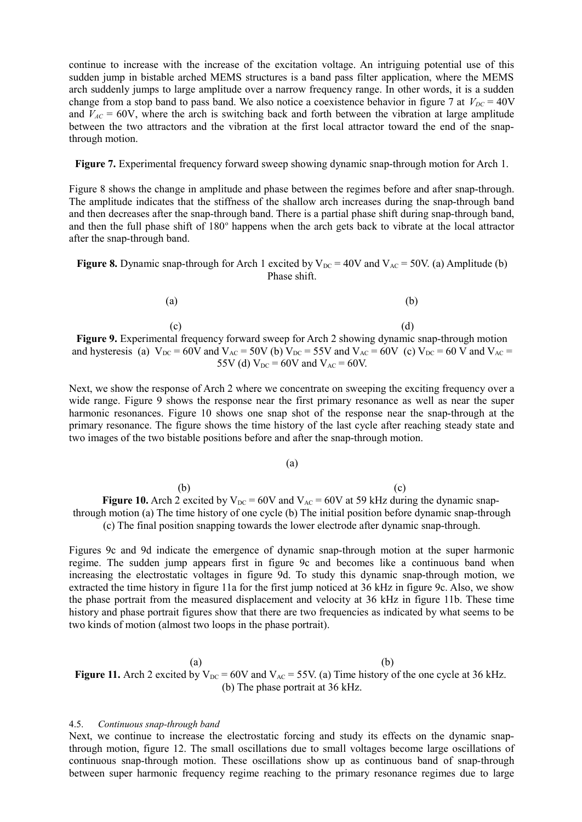continue to increase with the increase of the excitation voltage. An intriguing potential use of this sudden jump in bistable arched MEMS structures is a band pass filter application, where the MEMS arch suddenly jumps to large amplitude over a narrow frequency range. In other words, it is a sudden change from a stop band to pass band. We also notice a coexistence behavior in figure 7 at  $V_{DC} = 40V$ and  $V_{AC}$  = 60V, where the arch is switching back and forth between the vibration at large amplitude between the two attractors and the vibration at the first local attractor toward the end of the snapthrough motion.

**Figure 7.** Experimental frequency forward sweep showing dynamic snap-through motion for Arch 1.

Figure 8 shows the change in amplitude and phase between the regimes before and after snap-through. The amplitude indicates that the stiffness of the shallow arch increases during the snap-through band and then decreases after the snap-through band. There is a partial phase shift during snap-through band, and then the full phase shift of 180° happens when the arch gets back to vibrate at the local attractor after the snap-through band.

**Figure 8.** Dynamic snap-through for Arch 1 excited by  $V_{DC} = 40V$  and  $V_{AC} = 50V$ . (a) Amplitude (b) Phase shift.

| (a) | (b) |
|-----|-----|
|     |     |

 $\qquad \qquad \textbf{(c)} \qquad \qquad \textbf{(d)}$ Figure 9. Experimental frequency forward sweep for Arch 2 showing dynamic snap-through motion and hysteresis (a)  $V_{DC} = 60V$  and  $V_{AC} = 50V$  (b)  $V_{DC} = 55V$  and  $V_{AC} = 60V$  (c)  $V_{DC} = 60V$  and  $V_{AC} = 60V$ 55V (d)  $V_{DC} = 60V$  and  $V_{AC} = 60V$ .

Next, we show the response of Arch 2 where we concentrate on sweeping the exciting frequency over a wide range. Figure 9 shows the response near the first primary resonance as well as near the super harmonic resonances. Figure 10 shows one snap shot of the response near the snap-through at the primary resonance. The figure shows the time history of the last cycle after reaching steady state and two images of the two bistable positions before and after the snap-through motion.

#### (a)

 $\qquad \qquad \textbf{(b)}$ **Figure 10.** Arch 2 excited by  $V_{DC} = 60V$  and  $V_{AC} = 60V$  at 59 kHz during the dynamic snapthrough motion (a) The time history of one cycle (b) The initial position before dynamic snap-through (c) The final position snapping towards the lower electrode after dynamic snap-through.

Figures 9c and 9d indicate the emergence of dynamic snap-through motion at the super harmonic regime. The sudden jump appears first in figure 9c and becomes like a continuous band when increasing the electrostatic voltages in figure 9d. To study this dynamic snap-through motion, we extracted the time history in figure 11a for the first jump noticed at 36 kHz in figure 9c. Also, we show the phase portrait from the measured displacement and velocity at 36 kHz in figure 11b. These time history and phase portrait figures show that there are two frequencies as indicated by what seems to be two kinds of motion (almost two loops in the phase portrait).

 $(a)$  (b) **Figure 11.** Arch 2 excited by  $V_{DC} = 60V$  and  $V_{AC} = 55V$ . (a) Time history of the one cycle at 36 kHz. (b) The phase portrait at 36 kHz.

#### 4.5. *Continuous snap-through band*

Next, we continue to increase the electrostatic forcing and study its effects on the dynamic snapthrough motion, figure 12. The small oscillations due to small voltages become large oscillations of continuous snap-through motion. These oscillations show up as continuous band of snap-through between super harmonic frequency regime reaching to the primary resonance regimes due to large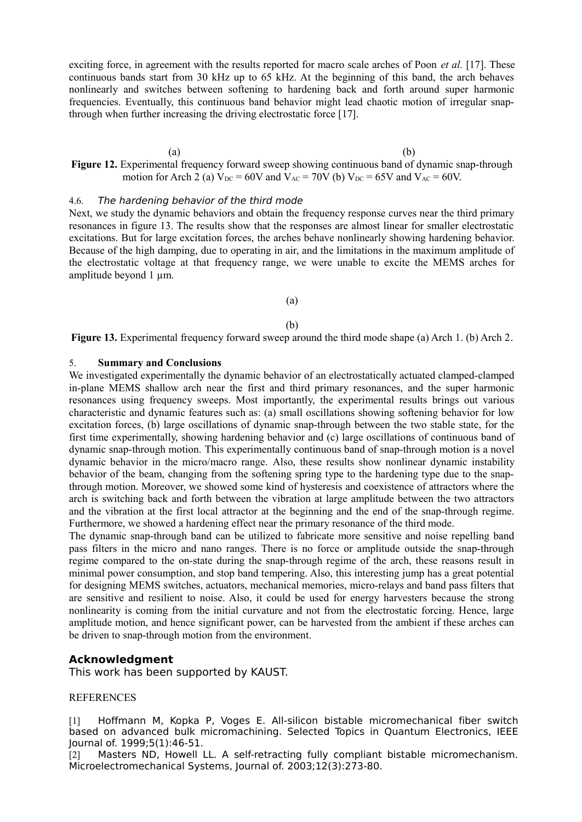exciting force, in agreement with the results reported for macro scale arches of Poon *et al.* [17]. These continuous bands start from 30 kHz up to 65 kHz. At the beginning of this band, the arch behaves nonlinearly and switches between softening to hardening back and forth around super harmonic frequencies. Eventually, this continuous band behavior might lead chaotic motion of irregular snapthrough when further increasing the driving electrostatic force [17].

 $(a)$  (b) Figure 12. Experimental frequency forward sweep showing continuous band of dynamic snap-through motion for Arch 2 (a)  $V_{DC} = 60V$  and  $V_{AC} = 70V$  (b)  $V_{DC} = 65V$  and  $V_{AC} = 60V$ .

## 4.6. The hardening behavior of the third mode

Next, we study the dynamic behaviors and obtain the frequency response curves near the third primary resonances in figure 13. The results show that the responses are almost linear for smaller electrostatic excitations. But for large excitation forces, the arches behave nonlinearly showing hardening behavior. Because of the high damping, due to operating in air, and the limitations in the maximum amplitude of the electrostatic voltage at that frequency range, we were unable to excite the MEMS arches for amplitude beyond 1  $\mu$ m.

## (a)

#### (b)

**Figure 13.** Experimental frequency forward sweep around the third mode shape (a) Arch 1. (b) Arch 2.

## 5. **Summary and Conclusions**

We investigated experimentally the dynamic behavior of an electrostatically actuated clamped-clamped in-plane MEMS shallow arch near the first and third primary resonances, and the super harmonic resonances using frequency sweeps. Most importantly, the experimental results brings out various characteristic and dynamic features such as: (a) small oscillations showing softening behavior for low excitation forces, (b) large oscillations of dynamic snap-through between the two stable state, for the first time experimentally, showing hardening behavior and (c) large oscillations of continuous band of dynamic snap-through motion. This experimentally continuous band of snap-through motion is a novel dynamic behavior in the micro/macro range. Also, these results show nonlinear dynamic instability behavior of the beam, changing from the softening spring type to the hardening type due to the snapthrough motion. Moreover, we showed some kind of hysteresis and coexistence of attractors where the arch is switching back and forth between the vibration at large amplitude between the two attractors and the vibration at the first local attractor at the beginning and the end of the snap-through regime. Furthermore, we showed a hardening effect near the primary resonance of the third mode.

The dynamic snap-through band can be utilized to fabricate more sensitive and noise repelling band pass filters in the micro and nano ranges. There is no force or amplitude outside the snap-through regime compared to the on-state during the snap-through regime of the arch, these reasons result in minimal power consumption, and stop band tempering. Also, this interesting jump has a great potential for designing MEMS switches, actuators, mechanical memories, micro-relays and band pass filters that are sensitive and resilient to noise. Also, it could be used for energy harvesters because the strong nonlinearity is coming from the initial curvature and not from the electrostatic forcing. Hence, large amplitude motion, and hence significant power, can be harvested from the ambient if these arches can be driven to snap-through motion from the environment.

## **Acknowledgment**

This work has been supported by KAUST.

#### REFERENCES

[1] Hoffmann M, Kopka P, Voges E. All-silicon bistable micromechanical fiber switch based on advanced bulk micromachining. Selected Topics in Quantum Electronics, IEEE Journal of. 1999;5(1):46-51.

[2] Masters ND, Howell LL. A self-retracting fully compliant bistable micromechanism. Microelectromechanical Systems, Journal of. 2003;12(3):273-80.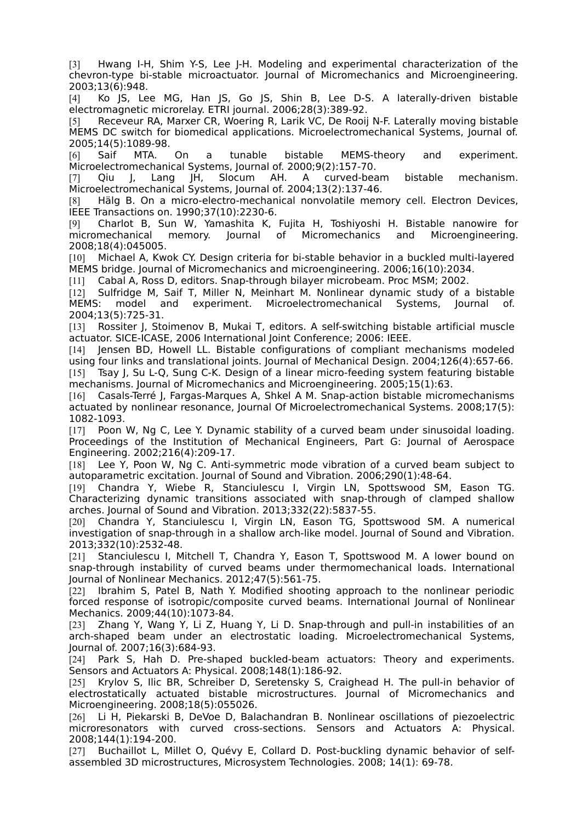[3] Hwang I-H, Shim Y-S, Lee J-H. Modeling and experimental characterization of the chevron-type bi-stable microactuator. Journal of Micromechanics and Microengineering. 2003;13(6):948.

[4] Ko JS, Lee MG, Han JS, Go JS, Shin B, Lee D-S. A laterally-driven bistable electromagnetic microrelay. ETRI journal. 2006;28(3):389-92.

[5] Receveur RA, Marxer CR, Woering R, Larik VC, De Rooij N-F. Laterally moving bistable MEMS DC switch for biomedical applications. Microelectromechanical Systems, Journal of. 2005;14(5):1089-98.

[6] Saif MTA. On a tunable bistable MEMS-theory and experiment. Microelectromechanical Systems, Journal of. 2000;9(2):157-70.

[7] Qiu J, Lang JH, Slocum AH. A curved-beam bistable mechanism. Microelectromechanical Systems, Journal of. 2004;13(2):137-46.

[8] Hälg B. On a micro-electro-mechanical nonvolatile memory cell. Electron Devices, IEEE Transactions on. 1990;37(10):2230-6.

[9] Charlot B, Sun W, Yamashita K, Fujita H, Toshiyoshi H. Bistable nanowire for micromechanical memory. Journal of Micromechanics and Microengineering. 2008;18(4):045005.

[10] Michael A, Kwok CY. Design criteria for bi-stable behavior in a buckled multi-layered MEMS bridge. Journal of Micromechanics and microengineering. 2006;16(10):2034.

[11] Cabal A, Ross D, editors. Snap-through bilayer microbeam. Proc MSM; 2002.

[12] Sulfridge M, Saif T, Miller N, Meinhart M. Nonlinear dynamic study of a bistable MEMS: model and experiment. Microelectromechanical Systems, Journal of. 2004;13(5):725-31.

[13] Rossiter J, Stoimenov B, Mukai T, editors. A self-switching bistable artificial muscle actuator. SICE-ICASE, 2006 International Joint Conference; 2006: IEEE.

[14] Jensen BD, Howell LL. Bistable configurations of compliant mechanisms modeled using four links and translational joints. Journal of Mechanical Design. 2004;126(4):657-66. [15] Tsay J, Su L-Q, Sung C-K. Design of a linear micro-feeding system featuring bistable mechanisms. Journal of Micromechanics and Microengineering. 2005;15(1):63.

[16] Casals-Terré J, Fargas-Marques A, Shkel A M. Snap-action bistable micromechanisms actuated by nonlinear resonance, Journal Of Microelectromechanical Systems. 2008;17(5): 1082-1093.

[17] Poon W, Ng C, Lee Y. Dynamic stability of a curved beam under sinusoidal loading. Proceedings of the Institution of Mechanical Engineers, Part G: Journal of Aerospace Engineering. 2002;216(4):209-17.

[18] Lee Y, Poon W, Ng C. Anti-symmetric mode vibration of a curved beam subject to autoparametric excitation. Journal of Sound and Vibration. 2006;290(1):48-64.

[19] Chandra Y, Wiebe R, Stanciulescu I, Virgin LN, Spottswood SM, Eason TG. Characterizing dynamic transitions associated with snap-through of clamped shallow arches. Journal of Sound and Vibration. 2013;332(22):5837-55.

[20] Chandra Y, Stanciulescu I, Virgin LN, Eason TG, Spottswood SM. A numerical investigation of snap-through in a shallow arch-like model. Journal of Sound and Vibration. 2013;332(10):2532-48.

[21] Stanciulescu I, Mitchell T, Chandra Y, Eason T, Spottswood M. A lower bound on snap-through instability of curved beams under thermomechanical loads. International Journal of Nonlinear Mechanics. 2012;47(5):561-75.

[22] Ibrahim S, Patel B, Nath Y. Modified shooting approach to the nonlinear periodic forced response of isotropic/composite curved beams. International Journal of Nonlinear Mechanics. 2009;44(10):1073-84.

[23] Zhang Y, Wang Y, Li Z, Huang Y, Li D. Snap-through and pull-in instabilities of an arch-shaped beam under an electrostatic loading. Microelectromechanical Systems, Journal of. 2007;16(3):684-93.

[24] Park S, Hah D. Pre-shaped buckled-beam actuators: Theory and experiments. Sensors and Actuators A: Physical. 2008;148(1):186-92.

[25] Krylov S, Ilic BR, Schreiber D, Seretensky S, Craighead H. The pull-in behavior of electrostatically actuated bistable microstructures. Journal of Micromechanics and Microengineering. 2008;18(5):055026.

[26] Li H, Piekarski B, DeVoe D, Balachandran B. Nonlinear oscillations of piezoelectric microresonators with curved cross-sections. Sensors and Actuators A: Physical. 2008;144(1):194-200.

[27] Buchaillot L, Millet O, Quévy E, Collard D. Post-buckling dynamic behavior of selfassembled 3D microstructures, Microsystem Technologies. 2008; 14(1): 69-78.